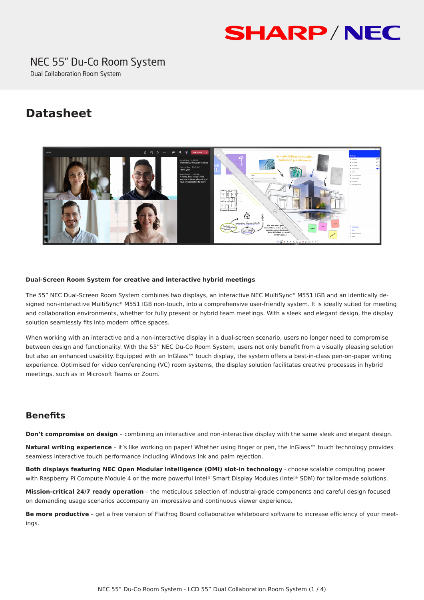# **SHARP/NEC**

## NEC 55" Du-Co Room System

Dual Collaboration Room System

### **Datasheet**



#### **Dual-Screen Room System for creative and interactive hybrid meetings**

The 55" NEC Dual-Screen Room System combines two displays, an interactive NEC MultiSync® M551 IGB and an identically designed non-interactive MultiSync® M551 IGB non-touch, into a comprehensive user-friendly system. It is ideally suited for meeting and collaboration environments, whether for fully present or hybrid team meetings. With a sleek and elegant design, the display solution seamlessly fits into modern office spaces.

When working with an interactive and a non-interactive display in a dual-screen scenario, users no longer need to compromise between design and functionality. With the 55" NEC Du-Co Room System, users not only benefit from a visually pleasing solution but also an enhanced usability. Equipped with an InGlass™ touch display, the system offers a best-in-class pen-on-paper writing experience. Optimised for video conferencing (VC) room systems, the display solution facilitates creative processes in hybrid meetings, such as in Microsoft Teams or Zoom.

#### **Benefits**

**Don't compromise on design** – combining an interactive and non-interactive display with the same sleek and elegant design.

**Natural writing experience** – it's like working on paper! Whether using finger or pen, the InGlass™ touch technology provides seamless interactive touch performance including Windows Ink and palm rejection.

**Both displays featuring NEC Open Modular Intelligence (OMI) slot-in technology** - choose scalable computing power with Raspberry Pi Compute Module 4 or the more powerful Intel® Smart Display Modules (Intel® SDM) for tailor-made solutions.

**Mission-critical 24/7 ready operation** – the meticulous selection of industrial-grade components and careful design focused on demanding usage scenarios accompany an impressive and continuous viewer experience.

**Be more productive** - get a free version of FlatFrog Board collaborative whiteboard software to increase efficiency of your meetings.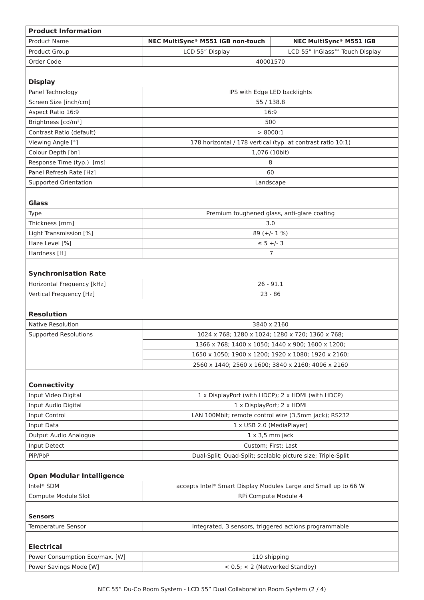| <b>Product Information</b>       |                                                                 |                                                     |  |
|----------------------------------|-----------------------------------------------------------------|-----------------------------------------------------|--|
| Product Name                     | NEC MultiSync® M551 IGB non-touch                               | <b>NEC MultiSync® M551 IGB</b>                      |  |
| Product Group                    | LCD 55" Display                                                 | LCD 55" InGlass™ Touch Display                      |  |
| Order Code                       | 40001570                                                        |                                                     |  |
|                                  |                                                                 |                                                     |  |
| <b>Display</b>                   |                                                                 |                                                     |  |
| Panel Technology                 | IPS with Edge LED backlights                                    |                                                     |  |
| Screen Size [inch/cm]            | 55 / 138.8                                                      |                                                     |  |
| Aspect Ratio 16:9                | 16:9                                                            |                                                     |  |
| Brightness [cd/m <sup>2</sup> ]  | 500                                                             |                                                     |  |
| Contrast Ratio (default)         | > 8000:1                                                        |                                                     |  |
| Viewing Angle [°]                | 178 horizontal / 178 vertical (typ. at contrast ratio 10:1)     |                                                     |  |
| Colour Depth [bn]                | 1,076 (10bit)                                                   |                                                     |  |
| Response Time (typ.) [ms]        | 8                                                               |                                                     |  |
| Panel Refresh Rate [Hz]          | 60                                                              |                                                     |  |
| Supported Orientation            | Landscape                                                       |                                                     |  |
|                                  |                                                                 |                                                     |  |
| <b>Glass</b><br>Type             |                                                                 |                                                     |  |
| Thickness [mm]                   | Premium toughened glass, anti-glare coating                     |                                                     |  |
| Light Transmission [%]           | 3.0                                                             |                                                     |  |
| Haze Level [%]                   | $89 (+/- 1 %)$                                                  |                                                     |  |
| Hardness [H]                     | $\leq$ 5 +/- 3<br>7                                             |                                                     |  |
|                                  |                                                                 |                                                     |  |
| <b>Synchronisation Rate</b>      |                                                                 |                                                     |  |
| Horizontal Frequency [kHz]       | $26 - 91.1$                                                     |                                                     |  |
| Vertical Frequency [Hz]          | $23 - 86$                                                       |                                                     |  |
|                                  |                                                                 |                                                     |  |
| <b>Resolution</b>                |                                                                 |                                                     |  |
| Native Resolution                |                                                                 | 3840 x 2160                                         |  |
| <b>Supported Resolutions</b>     | 1024 x 768; 1280 x 1024; 1280 x 720; 1360 x 768;                |                                                     |  |
|                                  | 1366 x 768; 1400 x 1050; 1440 x 900; 1600 x 1200;               |                                                     |  |
|                                  |                                                                 | 1650 x 1050; 1900 x 1200; 1920 x 1080; 1920 x 2160; |  |
|                                  | 2560 x 1440; 2560 x 1600; 3840 x 2160; 4096 x 2160              |                                                     |  |
|                                  |                                                                 |                                                     |  |
| <b>Connectivity</b>              |                                                                 |                                                     |  |
| Input Video Digital              | 1 x DisplayPort (with HDCP); 2 x HDMI (with HDCP)               |                                                     |  |
| Input Audio Digital              | 1 x DisplayPort; 2 x HDMI                                       |                                                     |  |
| Input Control                    | LAN 100Mbit; remote control wire (3,5mm jack); RS232            |                                                     |  |
| Input Data                       | 1 x USB 2.0 (MediaPlayer)                                       |                                                     |  |
| Output Audio Analogue            | $1 \times 3,5$ mm jack                                          |                                                     |  |
| Input Detect                     | Custom; First; Last                                             |                                                     |  |
| PiP/PbP                          | Dual-Split; Quad-Split; scalable picture size; Triple-Split     |                                                     |  |
| <b>Open Modular Intelligence</b> |                                                                 |                                                     |  |
| Intel <sup>®</sup> SDM           | accepts Intel® Smart Display Modules Large and Small up to 66 W |                                                     |  |
| Compute Module Slot              | RPi Compute Module 4                                            |                                                     |  |
|                                  |                                                                 |                                                     |  |
| <b>Sensors</b>                   |                                                                 |                                                     |  |
| Temperature Sensor               | Integrated, 3 sensors, triggered actions programmable           |                                                     |  |
| <b>Electrical</b>                |                                                                 |                                                     |  |
| Power Consumption Eco/max. [W]   | 110 shipping                                                    |                                                     |  |
| Power Savings Mode [W]           | < 0.5; < 2 (Networked Standby)                                  |                                                     |  |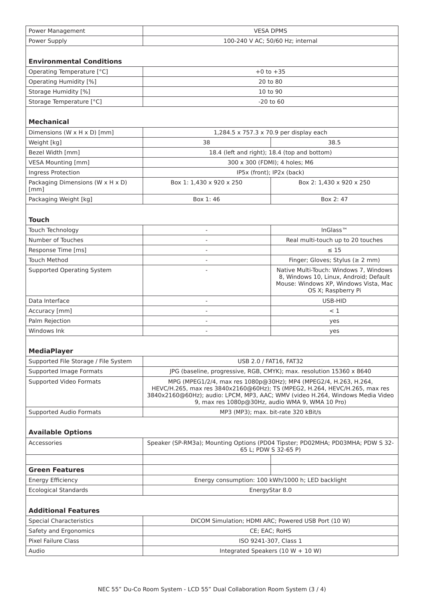| Power Supply<br>100-240 V AC; 50/60 Hz; internal<br><b>Environmental Conditions</b><br>Operating Temperature [°C]<br>$+0$ to $+35$<br>20 to 80<br>Operating Humidity [%]<br>Storage Humidity [%]<br>10 to 90<br>Storage Temperature [°C]<br>$-20$ to 60<br><b>Mechanical</b><br>Dimensions (W x H x D) [mm]<br>1,284.5 x 757.3 x 70.9 per display each<br>Weight [kg]<br>38<br>38.5<br>Bezel Width [mm]<br>18.4 (left and right); 18.4 (top and bottom)<br><b>VESA Mounting [mm]</b><br>300 x 300 (FDMI); 4 holes; M6<br>Ingress Protection<br>IP5x (front); IP2x (back)<br>Packaging Dimensions (W x H x D)<br>Box 1: 1,430 x 920 x 250<br>Box 2: 1,430 x 920 x 250<br>[mm]<br>Packaging Weight [kg]<br>Box 1:46<br>Box 2:47<br><b>Touch</b><br>InGlass <sup>™</sup><br>Touch Technology<br>$\sim$<br>Number of Touches<br>Real multi-touch up to 20 touches<br>$\overline{\phantom{a}}$<br>Response Time [ms]<br>$\leq 15$<br>$\overline{\phantom{a}}$<br><b>Touch Method</b><br>Finger; Gloves; Stylus ( $\geq 2$ mm)<br>Supported Operating System<br>Native Multi-Touch: Windows 7, Windows<br>8, Windows 10, Linux, Android; Default<br>Mouse: Windows XP, Windows Vista, Mac<br>OS X; Raspberry Pi<br>Data Interface<br>USB-HID<br>$\sim$<br>Accuracy [mm]<br>< 1<br>$\sim$<br>Palm Rejection<br>yes<br>$\overline{a}$<br>Windows Ink<br>yes<br><b>MediaPlayer</b><br>Supported File Storage / File System<br>USB 2.0 / FAT16, FAT32<br>Supported Image Formats<br>JPG (baseline, progressive, RGB, CMYK); max. resolution 15360 x 8640<br>MPG (MPEG1/2/4, max res 1080p@30Hz); MP4 (MPEG2/4, H.263, H.264,<br>Supported Video Formats<br>HEVC/H.265, max res 3840x2160@60Hz); TS (MPEG2, H.264, HEVC/H.265, max res<br>3840x2160@60Hz); audio: LPCM, MP3, AAC; WMV (video H.264, Windows Media Video<br>9, max res 1080p@30Hz, audio WMA 9, WMA 10 Pro)<br>MP3 (MP3): max. bit-rate 320 kBit/s<br>Supported Audio Formats<br><b>Available Options</b><br>Speaker (SP-RM3a); Mounting Options (PD04 Tipster; PD02MHA; PD03MHA; PDW S 32-<br>Accessories<br>65 L; PDW S 32-65 P)<br><b>Green Features</b><br>Energy consumption: 100 kWh/1000 h; LED backlight<br><b>Energy Efficiency</b><br>EnergyStar 8.0<br><b>Ecological Standards</b><br><b>Additional Features</b><br><b>Special Characteristics</b><br>DICOM Simulation; HDMI ARC; Powered USB Port (10 W)<br>Safety and Ergonomics<br>CE; EAC; RoHS<br>Pixel Failure Class<br>ISO 9241-307, Class 1<br>Audio<br>Integrated Speakers (10 W + 10 W) | Power Management | <b>VESA DPMS</b> |  |  |
|------------------------------------------------------------------------------------------------------------------------------------------------------------------------------------------------------------------------------------------------------------------------------------------------------------------------------------------------------------------------------------------------------------------------------------------------------------------------------------------------------------------------------------------------------------------------------------------------------------------------------------------------------------------------------------------------------------------------------------------------------------------------------------------------------------------------------------------------------------------------------------------------------------------------------------------------------------------------------------------------------------------------------------------------------------------------------------------------------------------------------------------------------------------------------------------------------------------------------------------------------------------------------------------------------------------------------------------------------------------------------------------------------------------------------------------------------------------------------------------------------------------------------------------------------------------------------------------------------------------------------------------------------------------------------------------------------------------------------------------------------------------------------------------------------------------------------------------------------------------------------------------------------------------------------------------------------------------------------------------------------------------------------------------------------------------------------------------------------------------------------------------------------------------------------------------------------------------------------------------------------------------------------------------------------------------------------------------------------------------------------------------------------------------------------------------------------------------------------------------------------------------|------------------|------------------|--|--|
|                                                                                                                                                                                                                                                                                                                                                                                                                                                                                                                                                                                                                                                                                                                                                                                                                                                                                                                                                                                                                                                                                                                                                                                                                                                                                                                                                                                                                                                                                                                                                                                                                                                                                                                                                                                                                                                                                                                                                                                                                                                                                                                                                                                                                                                                                                                                                                                                                                                                                                                  |                  |                  |  |  |
|                                                                                                                                                                                                                                                                                                                                                                                                                                                                                                                                                                                                                                                                                                                                                                                                                                                                                                                                                                                                                                                                                                                                                                                                                                                                                                                                                                                                                                                                                                                                                                                                                                                                                                                                                                                                                                                                                                                                                                                                                                                                                                                                                                                                                                                                                                                                                                                                                                                                                                                  |                  |                  |  |  |
|                                                                                                                                                                                                                                                                                                                                                                                                                                                                                                                                                                                                                                                                                                                                                                                                                                                                                                                                                                                                                                                                                                                                                                                                                                                                                                                                                                                                                                                                                                                                                                                                                                                                                                                                                                                                                                                                                                                                                                                                                                                                                                                                                                                                                                                                                                                                                                                                                                                                                                                  |                  |                  |  |  |
|                                                                                                                                                                                                                                                                                                                                                                                                                                                                                                                                                                                                                                                                                                                                                                                                                                                                                                                                                                                                                                                                                                                                                                                                                                                                                                                                                                                                                                                                                                                                                                                                                                                                                                                                                                                                                                                                                                                                                                                                                                                                                                                                                                                                                                                                                                                                                                                                                                                                                                                  |                  |                  |  |  |
|                                                                                                                                                                                                                                                                                                                                                                                                                                                                                                                                                                                                                                                                                                                                                                                                                                                                                                                                                                                                                                                                                                                                                                                                                                                                                                                                                                                                                                                                                                                                                                                                                                                                                                                                                                                                                                                                                                                                                                                                                                                                                                                                                                                                                                                                                                                                                                                                                                                                                                                  |                  |                  |  |  |
|                                                                                                                                                                                                                                                                                                                                                                                                                                                                                                                                                                                                                                                                                                                                                                                                                                                                                                                                                                                                                                                                                                                                                                                                                                                                                                                                                                                                                                                                                                                                                                                                                                                                                                                                                                                                                                                                                                                                                                                                                                                                                                                                                                                                                                                                                                                                                                                                                                                                                                                  |                  |                  |  |  |
|                                                                                                                                                                                                                                                                                                                                                                                                                                                                                                                                                                                                                                                                                                                                                                                                                                                                                                                                                                                                                                                                                                                                                                                                                                                                                                                                                                                                                                                                                                                                                                                                                                                                                                                                                                                                                                                                                                                                                                                                                                                                                                                                                                                                                                                                                                                                                                                                                                                                                                                  |                  |                  |  |  |
|                                                                                                                                                                                                                                                                                                                                                                                                                                                                                                                                                                                                                                                                                                                                                                                                                                                                                                                                                                                                                                                                                                                                                                                                                                                                                                                                                                                                                                                                                                                                                                                                                                                                                                                                                                                                                                                                                                                                                                                                                                                                                                                                                                                                                                                                                                                                                                                                                                                                                                                  |                  |                  |  |  |
|                                                                                                                                                                                                                                                                                                                                                                                                                                                                                                                                                                                                                                                                                                                                                                                                                                                                                                                                                                                                                                                                                                                                                                                                                                                                                                                                                                                                                                                                                                                                                                                                                                                                                                                                                                                                                                                                                                                                                                                                                                                                                                                                                                                                                                                                                                                                                                                                                                                                                                                  |                  |                  |  |  |
|                                                                                                                                                                                                                                                                                                                                                                                                                                                                                                                                                                                                                                                                                                                                                                                                                                                                                                                                                                                                                                                                                                                                                                                                                                                                                                                                                                                                                                                                                                                                                                                                                                                                                                                                                                                                                                                                                                                                                                                                                                                                                                                                                                                                                                                                                                                                                                                                                                                                                                                  |                  |                  |  |  |
|                                                                                                                                                                                                                                                                                                                                                                                                                                                                                                                                                                                                                                                                                                                                                                                                                                                                                                                                                                                                                                                                                                                                                                                                                                                                                                                                                                                                                                                                                                                                                                                                                                                                                                                                                                                                                                                                                                                                                                                                                                                                                                                                                                                                                                                                                                                                                                                                                                                                                                                  |                  |                  |  |  |
|                                                                                                                                                                                                                                                                                                                                                                                                                                                                                                                                                                                                                                                                                                                                                                                                                                                                                                                                                                                                                                                                                                                                                                                                                                                                                                                                                                                                                                                                                                                                                                                                                                                                                                                                                                                                                                                                                                                                                                                                                                                                                                                                                                                                                                                                                                                                                                                                                                                                                                                  |                  |                  |  |  |
|                                                                                                                                                                                                                                                                                                                                                                                                                                                                                                                                                                                                                                                                                                                                                                                                                                                                                                                                                                                                                                                                                                                                                                                                                                                                                                                                                                                                                                                                                                                                                                                                                                                                                                                                                                                                                                                                                                                                                                                                                                                                                                                                                                                                                                                                                                                                                                                                                                                                                                                  |                  |                  |  |  |
|                                                                                                                                                                                                                                                                                                                                                                                                                                                                                                                                                                                                                                                                                                                                                                                                                                                                                                                                                                                                                                                                                                                                                                                                                                                                                                                                                                                                                                                                                                                                                                                                                                                                                                                                                                                                                                                                                                                                                                                                                                                                                                                                                                                                                                                                                                                                                                                                                                                                                                                  |                  |                  |  |  |
|                                                                                                                                                                                                                                                                                                                                                                                                                                                                                                                                                                                                                                                                                                                                                                                                                                                                                                                                                                                                                                                                                                                                                                                                                                                                                                                                                                                                                                                                                                                                                                                                                                                                                                                                                                                                                                                                                                                                                                                                                                                                                                                                                                                                                                                                                                                                                                                                                                                                                                                  |                  |                  |  |  |
|                                                                                                                                                                                                                                                                                                                                                                                                                                                                                                                                                                                                                                                                                                                                                                                                                                                                                                                                                                                                                                                                                                                                                                                                                                                                                                                                                                                                                                                                                                                                                                                                                                                                                                                                                                                                                                                                                                                                                                                                                                                                                                                                                                                                                                                                                                                                                                                                                                                                                                                  |                  |                  |  |  |
|                                                                                                                                                                                                                                                                                                                                                                                                                                                                                                                                                                                                                                                                                                                                                                                                                                                                                                                                                                                                                                                                                                                                                                                                                                                                                                                                                                                                                                                                                                                                                                                                                                                                                                                                                                                                                                                                                                                                                                                                                                                                                                                                                                                                                                                                                                                                                                                                                                                                                                                  |                  |                  |  |  |
|                                                                                                                                                                                                                                                                                                                                                                                                                                                                                                                                                                                                                                                                                                                                                                                                                                                                                                                                                                                                                                                                                                                                                                                                                                                                                                                                                                                                                                                                                                                                                                                                                                                                                                                                                                                                                                                                                                                                                                                                                                                                                                                                                                                                                                                                                                                                                                                                                                                                                                                  |                  |                  |  |  |
|                                                                                                                                                                                                                                                                                                                                                                                                                                                                                                                                                                                                                                                                                                                                                                                                                                                                                                                                                                                                                                                                                                                                                                                                                                                                                                                                                                                                                                                                                                                                                                                                                                                                                                                                                                                                                                                                                                                                                                                                                                                                                                                                                                                                                                                                                                                                                                                                                                                                                                                  |                  |                  |  |  |
|                                                                                                                                                                                                                                                                                                                                                                                                                                                                                                                                                                                                                                                                                                                                                                                                                                                                                                                                                                                                                                                                                                                                                                                                                                                                                                                                                                                                                                                                                                                                                                                                                                                                                                                                                                                                                                                                                                                                                                                                                                                                                                                                                                                                                                                                                                                                                                                                                                                                                                                  |                  |                  |  |  |
|                                                                                                                                                                                                                                                                                                                                                                                                                                                                                                                                                                                                                                                                                                                                                                                                                                                                                                                                                                                                                                                                                                                                                                                                                                                                                                                                                                                                                                                                                                                                                                                                                                                                                                                                                                                                                                                                                                                                                                                                                                                                                                                                                                                                                                                                                                                                                                                                                                                                                                                  |                  |                  |  |  |
|                                                                                                                                                                                                                                                                                                                                                                                                                                                                                                                                                                                                                                                                                                                                                                                                                                                                                                                                                                                                                                                                                                                                                                                                                                                                                                                                                                                                                                                                                                                                                                                                                                                                                                                                                                                                                                                                                                                                                                                                                                                                                                                                                                                                                                                                                                                                                                                                                                                                                                                  |                  |                  |  |  |
|                                                                                                                                                                                                                                                                                                                                                                                                                                                                                                                                                                                                                                                                                                                                                                                                                                                                                                                                                                                                                                                                                                                                                                                                                                                                                                                                                                                                                                                                                                                                                                                                                                                                                                                                                                                                                                                                                                                                                                                                                                                                                                                                                                                                                                                                                                                                                                                                                                                                                                                  |                  |                  |  |  |
|                                                                                                                                                                                                                                                                                                                                                                                                                                                                                                                                                                                                                                                                                                                                                                                                                                                                                                                                                                                                                                                                                                                                                                                                                                                                                                                                                                                                                                                                                                                                                                                                                                                                                                                                                                                                                                                                                                                                                                                                                                                                                                                                                                                                                                                                                                                                                                                                                                                                                                                  |                  |                  |  |  |
|                                                                                                                                                                                                                                                                                                                                                                                                                                                                                                                                                                                                                                                                                                                                                                                                                                                                                                                                                                                                                                                                                                                                                                                                                                                                                                                                                                                                                                                                                                                                                                                                                                                                                                                                                                                                                                                                                                                                                                                                                                                                                                                                                                                                                                                                                                                                                                                                                                                                                                                  |                  |                  |  |  |
|                                                                                                                                                                                                                                                                                                                                                                                                                                                                                                                                                                                                                                                                                                                                                                                                                                                                                                                                                                                                                                                                                                                                                                                                                                                                                                                                                                                                                                                                                                                                                                                                                                                                                                                                                                                                                                                                                                                                                                                                                                                                                                                                                                                                                                                                                                                                                                                                                                                                                                                  |                  |                  |  |  |
|                                                                                                                                                                                                                                                                                                                                                                                                                                                                                                                                                                                                                                                                                                                                                                                                                                                                                                                                                                                                                                                                                                                                                                                                                                                                                                                                                                                                                                                                                                                                                                                                                                                                                                                                                                                                                                                                                                                                                                                                                                                                                                                                                                                                                                                                                                                                                                                                                                                                                                                  |                  |                  |  |  |
|                                                                                                                                                                                                                                                                                                                                                                                                                                                                                                                                                                                                                                                                                                                                                                                                                                                                                                                                                                                                                                                                                                                                                                                                                                                                                                                                                                                                                                                                                                                                                                                                                                                                                                                                                                                                                                                                                                                                                                                                                                                                                                                                                                                                                                                                                                                                                                                                                                                                                                                  |                  |                  |  |  |
|                                                                                                                                                                                                                                                                                                                                                                                                                                                                                                                                                                                                                                                                                                                                                                                                                                                                                                                                                                                                                                                                                                                                                                                                                                                                                                                                                                                                                                                                                                                                                                                                                                                                                                                                                                                                                                                                                                                                                                                                                                                                                                                                                                                                                                                                                                                                                                                                                                                                                                                  |                  |                  |  |  |
|                                                                                                                                                                                                                                                                                                                                                                                                                                                                                                                                                                                                                                                                                                                                                                                                                                                                                                                                                                                                                                                                                                                                                                                                                                                                                                                                                                                                                                                                                                                                                                                                                                                                                                                                                                                                                                                                                                                                                                                                                                                                                                                                                                                                                                                                                                                                                                                                                                                                                                                  |                  |                  |  |  |
|                                                                                                                                                                                                                                                                                                                                                                                                                                                                                                                                                                                                                                                                                                                                                                                                                                                                                                                                                                                                                                                                                                                                                                                                                                                                                                                                                                                                                                                                                                                                                                                                                                                                                                                                                                                                                                                                                                                                                                                                                                                                                                                                                                                                                                                                                                                                                                                                                                                                                                                  |                  |                  |  |  |
|                                                                                                                                                                                                                                                                                                                                                                                                                                                                                                                                                                                                                                                                                                                                                                                                                                                                                                                                                                                                                                                                                                                                                                                                                                                                                                                                                                                                                                                                                                                                                                                                                                                                                                                                                                                                                                                                                                                                                                                                                                                                                                                                                                                                                                                                                                                                                                                                                                                                                                                  |                  |                  |  |  |
|                                                                                                                                                                                                                                                                                                                                                                                                                                                                                                                                                                                                                                                                                                                                                                                                                                                                                                                                                                                                                                                                                                                                                                                                                                                                                                                                                                                                                                                                                                                                                                                                                                                                                                                                                                                                                                                                                                                                                                                                                                                                                                                                                                                                                                                                                                                                                                                                                                                                                                                  |                  |                  |  |  |
|                                                                                                                                                                                                                                                                                                                                                                                                                                                                                                                                                                                                                                                                                                                                                                                                                                                                                                                                                                                                                                                                                                                                                                                                                                                                                                                                                                                                                                                                                                                                                                                                                                                                                                                                                                                                                                                                                                                                                                                                                                                                                                                                                                                                                                                                                                                                                                                                                                                                                                                  |                  |                  |  |  |
|                                                                                                                                                                                                                                                                                                                                                                                                                                                                                                                                                                                                                                                                                                                                                                                                                                                                                                                                                                                                                                                                                                                                                                                                                                                                                                                                                                                                                                                                                                                                                                                                                                                                                                                                                                                                                                                                                                                                                                                                                                                                                                                                                                                                                                                                                                                                                                                                                                                                                                                  |                  |                  |  |  |
|                                                                                                                                                                                                                                                                                                                                                                                                                                                                                                                                                                                                                                                                                                                                                                                                                                                                                                                                                                                                                                                                                                                                                                                                                                                                                                                                                                                                                                                                                                                                                                                                                                                                                                                                                                                                                                                                                                                                                                                                                                                                                                                                                                                                                                                                                                                                                                                                                                                                                                                  |                  |                  |  |  |
|                                                                                                                                                                                                                                                                                                                                                                                                                                                                                                                                                                                                                                                                                                                                                                                                                                                                                                                                                                                                                                                                                                                                                                                                                                                                                                                                                                                                                                                                                                                                                                                                                                                                                                                                                                                                                                                                                                                                                                                                                                                                                                                                                                                                                                                                                                                                                                                                                                                                                                                  |                  |                  |  |  |
|                                                                                                                                                                                                                                                                                                                                                                                                                                                                                                                                                                                                                                                                                                                                                                                                                                                                                                                                                                                                                                                                                                                                                                                                                                                                                                                                                                                                                                                                                                                                                                                                                                                                                                                                                                                                                                                                                                                                                                                                                                                                                                                                                                                                                                                                                                                                                                                                                                                                                                                  |                  |                  |  |  |
|                                                                                                                                                                                                                                                                                                                                                                                                                                                                                                                                                                                                                                                                                                                                                                                                                                                                                                                                                                                                                                                                                                                                                                                                                                                                                                                                                                                                                                                                                                                                                                                                                                                                                                                                                                                                                                                                                                                                                                                                                                                                                                                                                                                                                                                                                                                                                                                                                                                                                                                  |                  |                  |  |  |
|                                                                                                                                                                                                                                                                                                                                                                                                                                                                                                                                                                                                                                                                                                                                                                                                                                                                                                                                                                                                                                                                                                                                                                                                                                                                                                                                                                                                                                                                                                                                                                                                                                                                                                                                                                                                                                                                                                                                                                                                                                                                                                                                                                                                                                                                                                                                                                                                                                                                                                                  |                  |                  |  |  |
|                                                                                                                                                                                                                                                                                                                                                                                                                                                                                                                                                                                                                                                                                                                                                                                                                                                                                                                                                                                                                                                                                                                                                                                                                                                                                                                                                                                                                                                                                                                                                                                                                                                                                                                                                                                                                                                                                                                                                                                                                                                                                                                                                                                                                                                                                                                                                                                                                                                                                                                  |                  |                  |  |  |